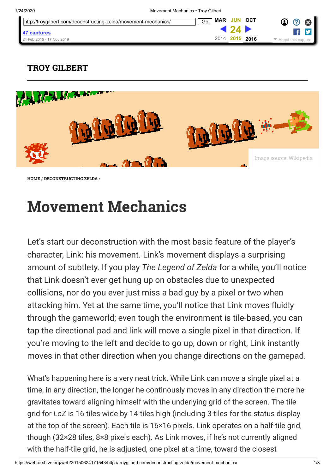| http://troygilbert.com/deconstructing-zelda/movement-mechanics/ | OCT<br><b>JUN</b><br>MAR<br>Go | က္ပြ<br>⊠ |
|-----------------------------------------------------------------|--------------------------------|-----------|
| 47 captures                                                     |                                |           |
| 24 Feb 2015 - 17 Nov 2019                                       | 2014 2015<br>2016              |           |

## [TROY GILBERT](https://web.archive.org/web/20150624171543/http://troygilbert.com/)



[HOME](https://web.archive.org/web/20150624171543/http://troygilbert.com/) / [DECONSTRUCTING ZELDA](https://web.archive.org/web/20150624171543/http://troygilbert.com/deconstructing-zelda/) /

## Movement Mechanics

Let's start our deconstruction with the most basic feature of the player's character, Link: his movement. Link's movement displays a surprising amount of subtlety. If you play The Legend of Zelda for a while, you'll notice that Link doesn't ever get hung up on obstacles due to unexpected collisions, nor do you ever just miss a bad guy by a pixel or two when attacking him. Yet at the same time, you'll notice that Link moves fluidly through the gameworld; even tough the environment is tile-based, you can tap the directional pad and link will move a single pixel in that direction. If you're moving to the left and decide to go up, down or right, Link instantly moves in that other direction when you change directions on the gamepad.

What's happening here is a very neat trick. While Link can move a single pixel at a time, in any direction, the longer he continously moves in any direction the more he gravitates toward aligning himself with the underlying grid of the screen. The tile grid for LoZ is 16 tiles wide by 14 tiles high (including 3 tiles for the status display at the top of the screen). Each tile is 16×16 pixels. Link operates on a half-tile grid, though (32×28 tiles, 8×8 pixels each). As Link moves, if he's not currently aligned with the half-tile grid, he is adjusted, one pixel at a time, toward the closest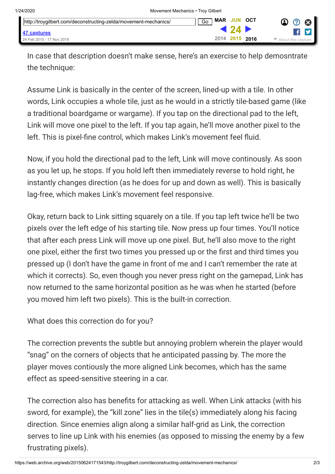| http://troygilbert.com/deconstructing-zelda/movement-mechanics/ | <b>MAR JUN OCT</b><br>Go |               | - 63<br>4<br>$\odot$                     |
|-----------------------------------------------------------------|--------------------------|---------------|------------------------------------------|
| 47 captures                                                     |                          | <b>4</b> 24 I | <b>THE ST</b>                            |
| 24 Feb 2015 - 17 Nov 2019                                       | 2014 2015 2016           |               | $\blacktriangleright$ About this capture |

In case that description doesn't make sense, here's an exercise to help demosntrate the technique:

Assume Link is basically in the center of the screen, lined-up with a tile. In other words, Link occupies a whole tile, just as he would in a strictly tile-based game (like a traditional boardgame or wargame). If you tap on the directional pad to the left, Link will move one pixel to the left. If you tap again, he'll move another pixel to the left. This is pixel-fine control, which makes Link's movement feel fluid.

Now, if you hold the directional pad to the left, Link will move continously. As soon as you let up, he stops. If you hold left then immediately reverse to hold right, he instantly changes direction (as he does for up and down as well). This is basically lag-free, which makes Link's movement feel responsive.

Okay, return back to Link sitting squarely on a tile. If you tap left twice he'll be two pixels over the left edge of his starting tile. Now press up four times. You'll notice that after each press Link will move up one pixel. But, he'll also move to the right one pixel, either the first two times you pressed up or the first and third times you pressed up (I don't have the game in front of me and I can't remember the rate at which it corrects). So, even though you never press right on the gamepad, Link has now returned to the same horizontal position as he was when he started (before you moved him left two pixels). This is the built-in correction.

What does this correction do for you?

The correction prevents the subtle but annoying problem wherein the player would "snag" on the corners of objects that he anticipated passing by. The more the player moves contiously the more aligned Link becomes, which has the same effect as speed-sensitive steering in a car.

The correction also has benefits for attacking as well. When Link attacks (with his sword, for example), the "kill zone" lies in the tile(s) immediately along his facing direction. Since enemies align along a similar half-grid as Link, the correction serves to line up Link with his enemies (as opposed to missing the enemy by a few frustrating pixels).